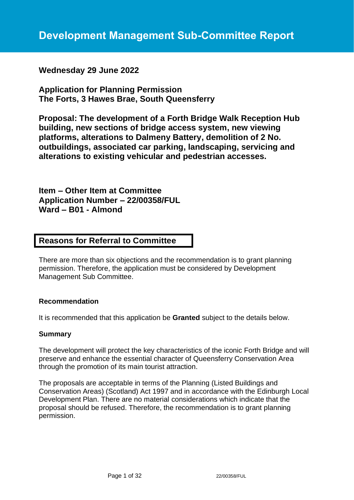# **Wednesday 29 June 2022**

**Application for Planning Permission The Forts, 3 Hawes Brae, South Queensferry**

**Proposal: The development of a Forth Bridge Walk Reception Hub building, new sections of bridge access system, new viewing platforms, alterations to Dalmeny Battery, demolition of 2 No. outbuildings, associated car parking, landscaping, servicing and alterations to existing vehicular and pedestrian accesses.**

**Item – Other Item at Committee Application Number – 22/00358/FUL Ward – B01 - Almond**

# **Reasons for Referral to Committee**

There are more than six objections and the recommendation is to grant planning permission. Therefore, the application must be considered by Development Management Sub Committee.

## **Recommendation**

It is recommended that this application be **Granted** subject to the details below.

#### **Summary**

The development will protect the key characteristics of the iconic Forth Bridge and will preserve and enhance the essential character of Queensferry Conservation Area through the promotion of its main tourist attraction.

The proposals are acceptable in terms of the Planning (Listed Buildings and Conservation Areas) (Scotland) Act 1997 and in accordance with the Edinburgh Local Development Plan. There are no material considerations which indicate that the proposal should be refused. Therefore, the recommendation is to grant planning permission.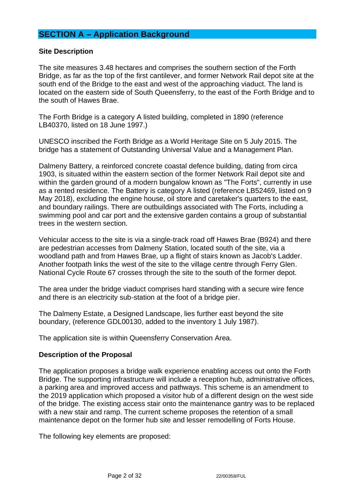# **SECTION A – Application Background**

#### **Site Description**

The site measures 3.48 hectares and comprises the southern section of the Forth Bridge, as far as the top of the first cantilever, and former Network Rail depot site at the south end of the Bridge to the east and west of the approaching viaduct. The land is located on the eastern side of South Queensferry, to the east of the Forth Bridge and to the south of Hawes Brae.

The Forth Bridge is a category A listed building, completed in 1890 (reference LB40370, listed on 18 June 1997.)

UNESCO inscribed the Forth Bridge as a World Heritage Site on 5 July 2015. The bridge has a statement of Outstanding Universal Value and a Management Plan.

Dalmeny Battery, a reinforced concrete coastal defence building, dating from circa 1903, is situated within the eastern section of the former Network Rail depot site and within the garden ground of a modern bungalow known as "The Forts", currently in use as a rented residence. The Battery is category A listed (reference LB52469, listed on 9 May 2018), excluding the engine house, oil store and caretaker's quarters to the east, and boundary railings. There are outbuildings associated with The Forts, including a swimming pool and car port and the extensive garden contains a group of substantial trees in the western section.

Vehicular access to the site is via a single-track road off Hawes Brae (B924) and there are pedestrian accesses from Dalmeny Station, located south of the site, via a woodland path and from Hawes Brae, up a flight of stairs known as Jacob's Ladder. Another footpath links the west of the site to the village centre through Ferry Glen. National Cycle Route 67 crosses through the site to the south of the former depot.

The area under the bridge viaduct comprises hard standing with a secure wire fence and there is an electricity sub-station at the foot of a bridge pier.

The Dalmeny Estate, a Designed Landscape, lies further east beyond the site boundary, (reference GDL00130, added to the inventory 1 July 1987).

The application site is within Queensferry Conservation Area.

## **Description of the Proposal**

The application proposes a bridge walk experience enabling access out onto the Forth Bridge. The supporting infrastructure will include a reception hub, administrative offices, a parking area and improved access and pathways. This scheme is an amendment to the 2019 application which proposed a visitor hub of a different design on the west side of the bridge. The existing access stair onto the maintenance gantry was to be replaced with a new stair and ramp. The current scheme proposes the retention of a small maintenance depot on the former hub site and lesser remodelling of Forts House.

The following key elements are proposed: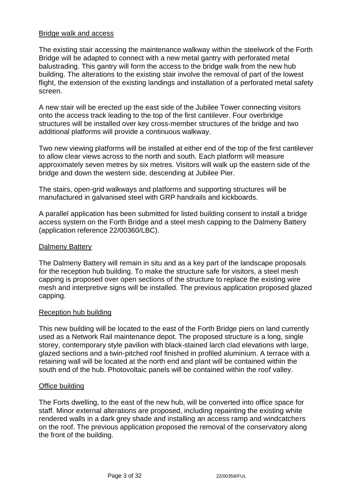## Bridge walk and access

The existing stair accessing the maintenance walkway within the steelwork of the Forth Bridge will be adapted to connect with a new metal gantry with perforated metal balustrading. This gantry will form the access to the bridge walk from the new hub building. The alterations to the existing stair involve the removal of part of the lowest flight, the extension of the existing landings and installation of a perforated metal safety screen.

A new stair will be erected up the east side of the Jubilee Tower connecting visitors onto the access track leading to the top of the first cantilever. Four overbridge structures will be installed over key cross-member structures of the bridge and two additional platforms will provide a continuous walkway.

Two new viewing platforms will be installed at either end of the top of the first cantilever to allow clear views across to the north and south. Each platform will measure approximately seven metres by six metres. Visitors will walk up the eastern side of the bridge and down the western side, descending at Jubilee Pier.

The stairs, open-grid walkways and platforms and supporting structures will be manufactured in galvanised steel with GRP handrails and kickboards.

A parallel application has been submitted for listed building consent to install a bridge access system on the Forth Bridge and a steel mesh capping to the Dalmeny Battery (application reference 22/00360/LBC).

#### Dalmeny Battery

The Dalmeny Battery will remain in situ and as a key part of the landscape proposals for the reception hub building. To make the structure safe for visitors, a steel mesh capping is proposed over open sections of the structure to replace the existing wire mesh and interpretive signs will be installed. The previous application proposed glazed capping.

#### Reception hub building

This new building will be located to the east of the Forth Bridge piers on land currently used as a Network Rail maintenance depot. The proposed structure is a long, single storey, contemporary style pavilion with black-stained larch clad elevations with large, glazed sections and a twin-pitched roof finished in profiled aluminium. A terrace with a retaining wall will be located at the north end and plant will be contained within the south end of the hub. Photovoltaic panels will be contained within the roof valley.

#### Office building

The Forts dwelling, to the east of the new hub, will be converted into office space for staff. Minor external alterations are proposed, including repainting the existing white rendered walls in a dark grey shade and installing an access ramp and windcatchers on the roof. The previous application proposed the removal of the conservatory along the front of the building.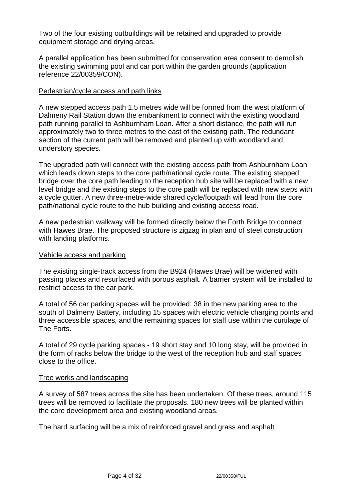Two of the four existing outbuildings will be retained and upgraded to provide equipment storage and drying areas.

A parallel application has been submitted for conservation area consent to demolish the existing swimming pool and car port within the garden grounds (application reference 22/00359/CON).

#### Pedestrian/cycle access and path links

A new stepped access path 1.5 metres wide will be formed from the west platform of Dalmeny Rail Station down the embankment to connect with the existing woodland path running parallel to Ashburnham Loan. After a short distance, the path will run approximately two to three metres to the east of the existing path. The redundant section of the current path will be removed and planted up with woodland and understory species.

The upgraded path will connect with the existing access path from Ashburnham Loan which leads down steps to the core path/national cycle route. The existing stepped bridge over the core path leading to the reception hub site will be replaced with a new level bridge and the existing steps to the core path will be replaced with new steps with a cycle gutter. A new three-metre-wide shared cycle/footpath will lead from the core path/national cycle route to the hub building and existing access road.

A new pedestrian walkway will be formed directly below the Forth Bridge to connect with Hawes Brae. The proposed structure is zigzag in plan and of steel construction with landing platforms.

#### Vehicle access and parking

The existing single-track access from the B924 (Hawes Brae) will be widened with passing places and resurfaced with porous asphalt. A barrier system will be installed to restrict access to the car park.

A total of 56 car parking spaces will be provided: 38 in the new parking area to the south of Dalmeny Battery, including 15 spaces with electric vehicle charging points and three accessible spaces, and the remaining spaces for staff use within the curtilage of The Forts.

A total of 29 cycle parking spaces - 19 short stay and 10 long stay, will be provided in the form of racks below the bridge to the west of the reception hub and staff spaces close to the office.

#### Tree works and landscaping

A survey of 587 trees across the site has been undertaken. Of these trees, around 115 trees will be removed to facilitate the proposals. 180 new trees will be planted within the core development area and existing woodland areas.

The hard surfacing will be a mix of reinforced gravel and grass and asphalt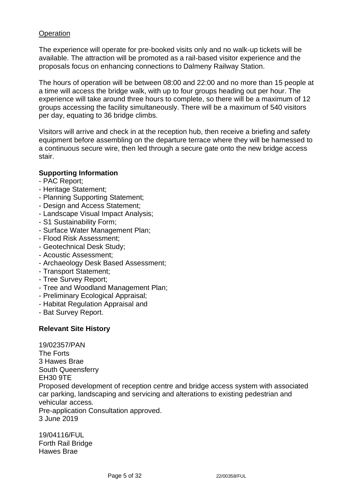# **Operation**

The experience will operate for pre-booked visits only and no walk-up tickets will be available. The attraction will be promoted as a rail-based visitor experience and the proposals focus on enhancing connections to Dalmeny Railway Station.

The hours of operation will be between 08:00 and 22:00 and no more than 15 people at a time will access the bridge walk, with up to four groups heading out per hour. The experience will take around three hours to complete, so there will be a maximum of 12 groups accessing the facility simultaneously. There will be a maximum of 540 visitors per day, equating to 36 bridge climbs.

Visitors will arrive and check in at the reception hub, then receive a briefing and safety equipment before assembling on the departure terrace where they will be harnessed to a continuous secure wire, then led through a secure gate onto the new bridge access stair.

## **Supporting Information**

- PAC Report;
- Heritage Statement;
- Planning Supporting Statement;
- Design and Access Statement;
- Landscape Visual Impact Analysis;
- S1 Sustainability Form;
- Surface Water Management Plan;
- Flood Risk Assessment;
- Geotechnical Desk Study;
- Acoustic Assessment;
- Archaeology Desk Based Assessment;
- Transport Statement;
- Tree Survey Report;
- Tree and Woodland Management Plan;
- Preliminary Ecological Appraisal;
- Habitat Regulation Appraisal and
- Bat Survey Report.

## **Relevant Site History**

19/02357/PAN The Forts 3 Hawes Brae South Queensferry EH30 9TE Proposed development of reception centre and bridge access system with associated car parking, landscaping and servicing and alterations to existing pedestrian and vehicular access. Pre-application Consultation approved. 3 June 2019

19/04116/FUL Forth Rail Bridge Hawes Brae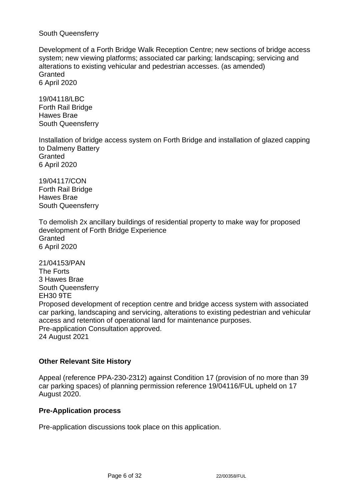South Queensferry

Development of a Forth Bridge Walk Reception Centre; new sections of bridge access system; new viewing platforms; associated car parking; landscaping; servicing and alterations to existing vehicular and pedestrian accesses. (as amended) **Granted** 6 April 2020

19/04118/LBC Forth Rail Bridge Hawes Brae South Queensferry

Installation of bridge access system on Forth Bridge and installation of glazed capping to Dalmeny Battery **Granted** 6 April 2020

19/04117/CON Forth Rail Bridge Hawes Brae South Queensferry

To demolish 2x ancillary buildings of residential property to make way for proposed development of Forth Bridge Experience **Granted** 6 April 2020

21/04153/PAN The Forts 3 Hawes Brae South Queensferry EH30 9TE Proposed development of reception centre and bridge access system with associated car parking, landscaping and servicing, alterations to existing pedestrian and vehicular access and retention of operational land for maintenance purposes. Pre-application Consultation approved. 24 August 2021

# **Other Relevant Site History**

Appeal (reference PPA-230-2312) against Condition 17 (provision of no more than 39 car parking spaces) of planning permission reference 19/04116/FUL upheld on 17 August 2020.

## **Pre-Application process**

Pre-application discussions took place on this application.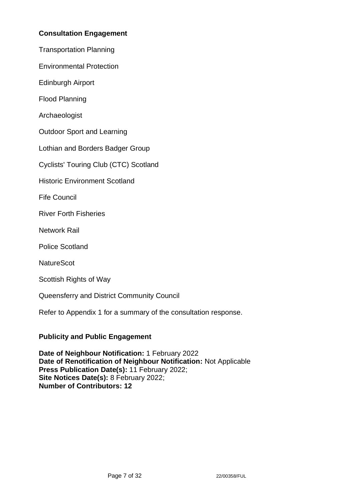# **Consultation Engagement**

Transportation Planning

Environmental Protection

Edinburgh Airport

Flood Planning

Archaeologist

Outdoor Sport and Learning

Lothian and Borders Badger Group

Cyclists' Touring Club (CTC) Scotland

Historic Environment Scotland

Fife Council

River Forth Fisheries

Network Rail

Police Scotland

**NatureScot** 

Scottish Rights of Way

Queensferry and District Community Council

Refer to Appendix 1 for a summary of the consultation response.

## **Publicity and Public Engagement**

**Date of Neighbour Notification:** 1 February 2022 **Date of Renotification of Neighbour Notification:** Not Applicable **Press Publication Date(s):** 11 February 2022; **Site Notices Date(s):** 8 February 2022; **Number of Contributors: 12**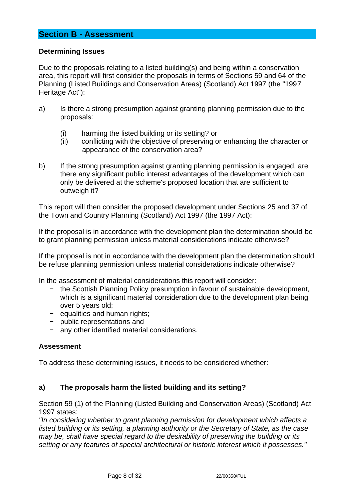# **Section B - Assessment**

# **Determining Issues**

Due to the proposals relating to a listed building(s) and being within a conservation area, this report will first consider the proposals in terms of Sections 59 and 64 of the Planning (Listed Buildings and Conservation Areas) (Scotland) Act 1997 (the "1997 Heritage Act"):

- a) Is there a strong presumption against granting planning permission due to the proposals:
	- (i) harming the listed building or its setting? or
	- (ii) conflicting with the objective of preserving or enhancing the character or appearance of the conservation area?
- b) If the strong presumption against granting planning permission is engaged, are there any significant public interest advantages of the development which can only be delivered at the scheme's proposed location that are sufficient to outweigh it?

This report will then consider the proposed development under Sections 25 and 37 of the Town and Country Planning (Scotland) Act 1997 (the 1997 Act):

If the proposal is in accordance with the development plan the determination should be to grant planning permission unless material considerations indicate otherwise?

If the proposal is not in accordance with the development plan the determination should be refuse planning permission unless material considerations indicate otherwise?

In the assessment of material considerations this report will consider:

- − the Scottish Planning Policy presumption in favour of sustainable development, which is a significant material consideration due to the development plan being over 5 years old;
- − equalities and human rights;
- − public representations and
- any other identified material considerations.

## **Assessment**

To address these determining issues, it needs to be considered whether:

## **a) The proposals harm the listed building and its setting?**

Section 59 (1) of the Planning (Listed Building and Conservation Areas) (Scotland) Act 1997 states:

*"In considering whether to grant planning permission for development which affects a listed building or its setting, a planning authority or the Secretary of State, as the case may be, shall have special regard to the desirability of preserving the building or its setting or any features of special architectural or historic interest which it possesses."*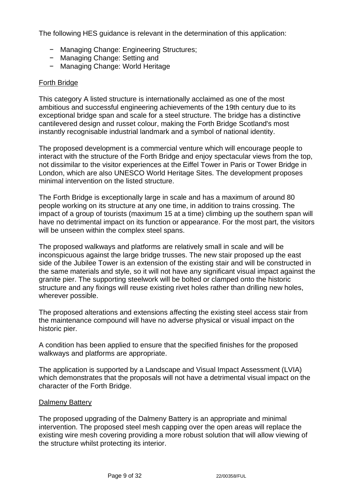The following HES guidance is relevant in the determination of this application:

- − Managing Change: Engineering Structures;
- − Managing Change: Setting and
- − Managing Change: World Heritage

#### Forth Bridge

This category A listed structure is internationally acclaimed as one of the most ambitious and successful engineering achievements of the 19th century due to its exceptional bridge span and scale for a steel structure. The bridge has a distinctive cantilevered design and russet colour, making the Forth Bridge Scotland's most instantly recognisable industrial landmark and a symbol of national identity.

The proposed development is a commercial venture which will encourage people to interact with the structure of the Forth Bridge and enjoy spectacular views from the top, not dissimilar to the visitor experiences at the Eiffel Tower in Paris or Tower Bridge in London, which are also UNESCO World Heritage Sites. The development proposes minimal intervention on the listed structure.

The Forth Bridge is exceptionally large in scale and has a maximum of around 80 people working on its structure at any one time, in addition to trains crossing. The impact of a group of tourists (maximum 15 at a time) climbing up the southern span will have no detrimental impact on its function or appearance. For the most part, the visitors will be unseen within the complex steel spans.

The proposed walkways and platforms are relatively small in scale and will be inconspicuous against the large bridge trusses. The new stair proposed up the east side of the Jubilee Tower is an extension of the existing stair and will be constructed in the same materials and style, so it will not have any significant visual impact against the granite pier. The supporting steelwork will be bolted or clamped onto the historic structure and any fixings will reuse existing rivet holes rather than drilling new holes, wherever possible.

The proposed alterations and extensions affecting the existing steel access stair from the maintenance compound will have no adverse physical or visual impact on the historic pier.

A condition has been applied to ensure that the specified finishes for the proposed walkways and platforms are appropriate.

The application is supported by a Landscape and Visual Impact Assessment (LVIA) which demonstrates that the proposals will not have a detrimental visual impact on the character of the Forth Bridge.

#### Dalmeny Battery

The proposed upgrading of the Dalmeny Battery is an appropriate and minimal intervention. The proposed steel mesh capping over the open areas will replace the existing wire mesh covering providing a more robust solution that will allow viewing of the structure whilst protecting its interior.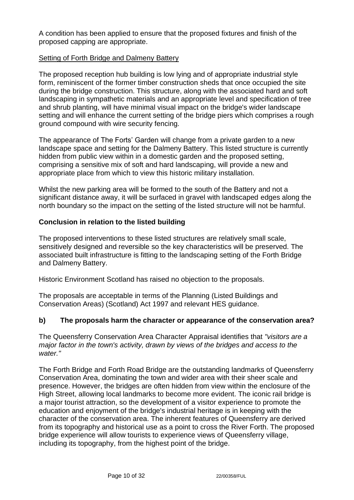A condition has been applied to ensure that the proposed fixtures and finish of the proposed capping are appropriate.

# Setting of Forth Bridge and Dalmeny Battery

The proposed reception hub building is low lying and of appropriate industrial style form, reminiscent of the former timber construction sheds that once occupied the site during the bridge construction. This structure, along with the associated hard and soft landscaping in sympathetic materials and an appropriate level and specification of tree and shrub planting, will have minimal visual impact on the bridge's wider landscape setting and will enhance the current setting of the bridge piers which comprises a rough ground compound with wire security fencing.

The appearance of The Forts' Garden will change from a private garden to a new landscape space and setting for the Dalmeny Battery. This listed structure is currently hidden from public view within in a domestic garden and the proposed setting, comprising a sensitive mix of soft and hard landscaping, will provide a new and appropriate place from which to view this historic military installation.

Whilst the new parking area will be formed to the south of the Battery and not a significant distance away, it will be surfaced in gravel with landscaped edges along the north boundary so the impact on the setting of the listed structure will not be harmful.

# **Conclusion in relation to the listed building**

The proposed interventions to these listed structures are relatively small scale, sensitively designed and reversible so the key characteristics will be preserved. The associated built infrastructure is fitting to the landscaping setting of the Forth Bridge and Dalmeny Battery.

Historic Environment Scotland has raised no objection to the proposals.

The proposals are acceptable in terms of the Planning (Listed Buildings and Conservation Areas) (Scotland) Act 1997 and relevant HES guidance.

# **b) The proposals harm the character or appearance of the conservation area?**

The Queensferry Conservation Area Character Appraisal identifies that *"visitors are a major factor in the town's activity, drawn by views of the bridges and access to the water."*

The Forth Bridge and Forth Road Bridge are the outstanding landmarks of Queensferry Conservation Area, dominating the town and wider area with their sheer scale and presence. However, the bridges are often hidden from view within the enclosure of the High Street, allowing local landmarks to become more evident. The iconic rail bridge is a major tourist attraction, so the development of a visitor experience to promote the education and enjoyment of the bridge's industrial heritage is in keeping with the character of the conservation area. The inherent features of Queensferry are derived from its topography and historical use as a point to cross the River Forth. The proposed bridge experience will allow tourists to experience views of Queensferry village, including its topography, from the highest point of the bridge.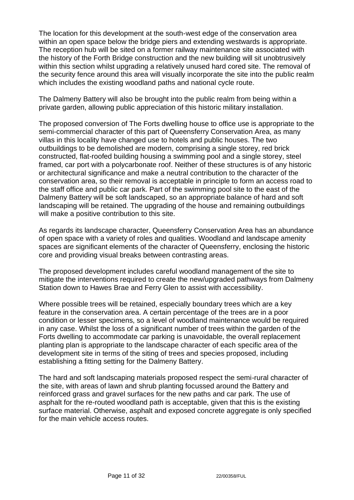The location for this development at the south-west edge of the conservation area within an open space below the bridge piers and extending westwards is appropriate. The reception hub will be sited on a former railway maintenance site associated with the history of the Forth Bridge construction and the new building will sit unobtrusively within this section whilst upgrading a relatively unused hard cored site. The removal of the security fence around this area will visually incorporate the site into the public realm which includes the existing woodland paths and national cycle route.

The Dalmeny Battery will also be brought into the public realm from being within a private garden, allowing public appreciation of this historic military installation.

The proposed conversion of The Forts dwelling house to office use is appropriate to the semi-commercial character of this part of Queensferry Conservation Area, as many villas in this locality have changed use to hotels and public houses. The two outbuildings to be demolished are modern, comprising a single storey, red brick constructed, flat-roofed building housing a swimming pool and a single storey, steel framed, car port with a polycarbonate roof. Neither of these structures is of any historic or architectural significance and make a neutral contribution to the character of the conservation area, so their removal is acceptable in principle to form an access road to the staff office and public car park. Part of the swimming pool site to the east of the Dalmeny Battery will be soft landscaped, so an appropriate balance of hard and soft landscaping will be retained. The upgrading of the house and remaining outbuildings will make a positive contribution to this site.

As regards its landscape character, Queensferry Conservation Area has an abundance of open space with a variety of roles and qualities. Woodland and landscape amenity spaces are significant elements of the character of Queensferry, enclosing the historic core and providing visual breaks between contrasting areas.

The proposed development includes careful woodland management of the site to mitigate the interventions required to create the new/upgraded pathways from Dalmeny Station down to Hawes Brae and Ferry Glen to assist with accessibility.

Where possible trees will be retained, especially boundary trees which are a key feature in the conservation area. A certain percentage of the trees are in a poor condition or lesser specimens, so a level of woodland maintenance would be required in any case. Whilst the loss of a significant number of trees within the garden of the Forts dwelling to accommodate car parking is unavoidable, the overall replacement planting plan is appropriate to the landscape character of each specific area of the development site in terms of the siting of trees and species proposed, including establishing a fitting setting for the Dalmeny Battery.

The hard and soft landscaping materials proposed respect the semi-rural character of the site, with areas of lawn and shrub planting focussed around the Battery and reinforced grass and gravel surfaces for the new paths and car park. The use of asphalt for the re-routed woodland path is acceptable, given that this is the existing surface material. Otherwise, asphalt and exposed concrete aggregate is only specified for the main vehicle access routes.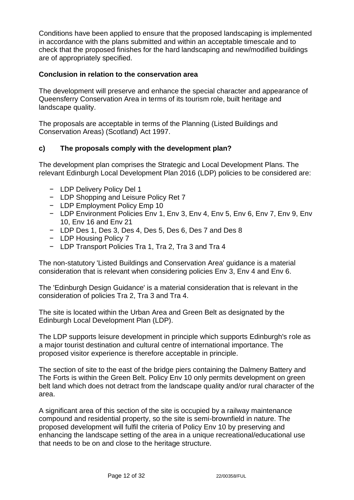Conditions have been applied to ensure that the proposed landscaping is implemented in accordance with the plans submitted and within an acceptable timescale and to check that the proposed finishes for the hard landscaping and new/modified buildings are of appropriately specified.

# **Conclusion in relation to the conservation area**

The development will preserve and enhance the special character and appearance of Queensferry Conservation Area in terms of its tourism role, built heritage and landscape quality.

The proposals are acceptable in terms of the Planning (Listed Buildings and Conservation Areas) (Scotland) Act 1997.

# **c) The proposals comply with the development plan?**

The development plan comprises the Strategic and Local Development Plans. The relevant Edinburgh Local Development Plan 2016 (LDP) policies to be considered are:

- − LDP Delivery Policy Del 1
- − LDP Shopping and Leisure Policy Ret 7
- − LDP Employment Policy Emp 10
- − LDP Environment Policies Env 1, Env 3, Env 4, Env 5, Env 6, Env 7, Env 9, Env 10, Env 16 and Env 21
- − LDP Des 1, Des 3, Des 4, Des 5, Des 6, Des 7 and Des 8
- − LDP Housing Policy 7
- − LDP Transport Policies Tra 1, Tra 2, Tra 3 and Tra 4

The non-statutory 'Listed Buildings and Conservation Area' guidance is a material consideration that is relevant when considering policies Env 3, Env 4 and Env 6.

The 'Edinburgh Design Guidance' is a material consideration that is relevant in the consideration of policies Tra 2, Tra 3 and Tra 4.

The site is located within the Urban Area and Green Belt as designated by the Edinburgh Local Development Plan (LDP).

The LDP supports leisure development in principle which supports Edinburgh's role as a major tourist destination and cultural centre of international importance. The proposed visitor experience is therefore acceptable in principle.

The section of site to the east of the bridge piers containing the Dalmeny Battery and The Forts is within the Green Belt. Policy Env 10 only permits development on green belt land which does not detract from the landscape quality and/or rural character of the area.

A significant area of this section of the site is occupied by a railway maintenance compound and residential property, so the site is semi-brownfield in nature. The proposed development will fulfil the criteria of Policy Env 10 by preserving and enhancing the landscape setting of the area in a unique recreational/educational use that needs to be on and close to the heritage structure.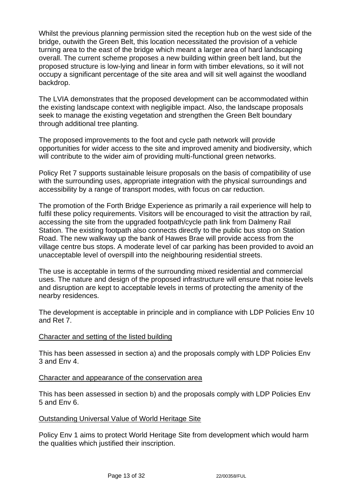Whilst the previous planning permission sited the reception hub on the west side of the bridge, outwith the Green Belt, this location necessitated the provision of a vehicle turning area to the east of the bridge which meant a larger area of hard landscaping overall. The current scheme proposes a new building within green belt land, but the proposed structure is low-lying and linear in form with timber elevations, so it will not occupy a significant percentage of the site area and will sit well against the woodland backdrop.

The LVIA demonstrates that the proposed development can be accommodated within the existing landscape context with negligible impact. Also, the landscape proposals seek to manage the existing vegetation and strengthen the Green Belt boundary through additional tree planting.

The proposed improvements to the foot and cycle path network will provide opportunities for wider access to the site and improved amenity and biodiversity, which will contribute to the wider aim of providing multi-functional green networks.

Policy Ret 7 supports sustainable leisure proposals on the basis of compatibility of use with the surrounding uses, appropriate integration with the physical surroundings and accessibility by a range of transport modes, with focus on car reduction.

The promotion of the Forth Bridge Experience as primarily a rail experience will help to fulfil these policy requirements. Visitors will be encouraged to visit the attraction by rail, accessing the site from the upgraded footpath/cycle path link from Dalmeny Rail Station. The existing footpath also connects directly to the public bus stop on Station Road. The new walkway up the bank of Hawes Brae will provide access from the village centre bus stops. A moderate level of car parking has been provided to avoid an unacceptable level of overspill into the neighbouring residential streets.

The use is acceptable in terms of the surrounding mixed residential and commercial uses. The nature and design of the proposed infrastructure will ensure that noise levels and disruption are kept to acceptable levels in terms of protecting the amenity of the nearby residences.

The development is acceptable in principle and in compliance with LDP Policies Env 10 and Ret 7.

## Character and setting of the listed building

This has been assessed in section a) and the proposals comply with LDP Policies Env 3 and Env 4.

#### Character and appearance of the conservation area

This has been assessed in section b) and the proposals comply with LDP Policies Env 5 and Env 6.

## Outstanding Universal Value of World Heritage Site

Policy Env 1 aims to protect World Heritage Site from development which would harm the qualities which justified their inscription.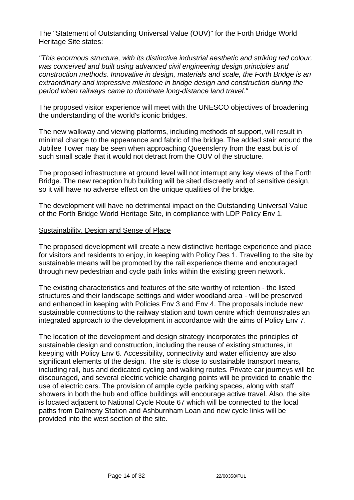The "Statement of Outstanding Universal Value (OUV)" for the Forth Bridge World Heritage Site states:

*"This enormous structure, with its distinctive industrial aesthetic and striking red colour, was conceived and built using advanced civil engineering design principles and construction methods. Innovative in design, materials and scale, the Forth Bridge is an extraordinary and impressive milestone in bridge design and construction during the period when railways came to dominate long-distance land travel."*

The proposed visitor experience will meet with the UNESCO objectives of broadening the understanding of the world's iconic bridges.

The new walkway and viewing platforms, including methods of support, will result in minimal change to the appearance and fabric of the bridge. The added stair around the Jubilee Tower may be seen when approaching Queensferry from the east but is of such small scale that it would not detract from the OUV of the structure.

The proposed infrastructure at ground level will not interrupt any key views of the Forth Bridge. The new reception hub building will be sited discreetly and of sensitive design, so it will have no adverse effect on the unique qualities of the bridge.

The development will have no detrimental impact on the Outstanding Universal Value of the Forth Bridge World Heritage Site, in compliance with LDP Policy Env 1.

#### Sustainability, Design and Sense of Place

The proposed development will create a new distinctive heritage experience and place for visitors and residents to enjoy, in keeping with Policy Des 1. Travelling to the site by sustainable means will be promoted by the rail experience theme and encouraged through new pedestrian and cycle path links within the existing green network.

The existing characteristics and features of the site worthy of retention - the listed structures and their landscape settings and wider woodland area - will be preserved and enhanced in keeping with Policies Env 3 and Env 4. The proposals include new sustainable connections to the railway station and town centre which demonstrates an integrated approach to the development in accordance with the aims of Policy Env 7.

The location of the development and design strategy incorporates the principles of sustainable design and construction, including the reuse of existing structures, in keeping with Policy Env 6. Accessibility, connectivity and water efficiency are also significant elements of the design. The site is close to sustainable transport means, including rail, bus and dedicated cycling and walking routes. Private car journeys will be discouraged, and several electric vehicle charging points will be provided to enable the use of electric cars. The provision of ample cycle parking spaces, along with staff showers in both the hub and office buildings will encourage active travel. Also, the site is located adjacent to National Cycle Route 67 which will be connected to the local paths from Dalmeny Station and Ashburnham Loan and new cycle links will be provided into the west section of the site.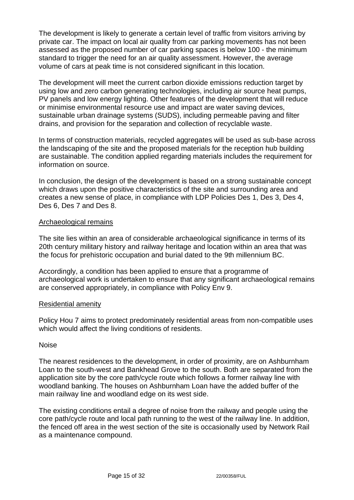The development is likely to generate a certain level of traffic from visitors arriving by private car. The impact on local air quality from car parking movements has not been assessed as the proposed number of car parking spaces is below 100 - the minimum standard to trigger the need for an air quality assessment. However, the average volume of cars at peak time is not considered significant in this location.

The development will meet the current carbon dioxide emissions reduction target by using low and zero carbon generating technologies, including air source heat pumps, PV panels and low energy lighting. Other features of the development that will reduce or minimise environmental resource use and impact are water saving devices, sustainable urban drainage systems (SUDS), including permeable paving and filter drains, and provision for the separation and collection of recyclable waste.

In terms of construction materials, recycled aggregates will be used as sub-base across the landscaping of the site and the proposed materials for the reception hub building are sustainable. The condition applied regarding materials includes the requirement for information on source.

In conclusion, the design of the development is based on a strong sustainable concept which draws upon the positive characteristics of the site and surrounding area and creates a new sense of place, in compliance with LDP Policies Des 1, Des 3, Des 4, Des 6, Des 7 and Des 8.

#### Archaeological remains

The site lies within an area of considerable archaeological significance in terms of its 20th century military history and railway heritage and location within an area that was the focus for prehistoric occupation and burial dated to the 9th millennium BC.

Accordingly, a condition has been applied to ensure that a programme of archaeological work is undertaken to ensure that any significant archaeological remains are conserved appropriately, in compliance with Policy Env 9.

#### Residential amenity

Policy Hou 7 aims to protect predominately residential areas from non-compatible uses which would affect the living conditions of residents.

#### Noise

The nearest residences to the development, in order of proximity, are on Ashburnham Loan to the south-west and Bankhead Grove to the south. Both are separated from the application site by the core path/cycle route which follows a former railway line with woodland banking. The houses on Ashburnham Loan have the added buffer of the main railway line and woodland edge on its west side.

The existing conditions entail a degree of noise from the railway and people using the core path/cycle route and local path running to the west of the railway line. In addition, the fenced off area in the west section of the site is occasionally used by Network Rail as a maintenance compound.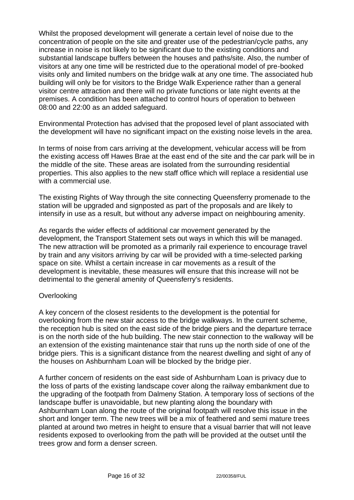Whilst the proposed development will generate a certain level of noise due to the concentration of people on the site and greater use of the pedestrian/cycle paths, any increase in noise is not likely to be significant due to the existing conditions and substantial landscape buffers between the houses and paths/site. Also, the number of visitors at any one time will be restricted due to the operational model of pre-booked visits only and limited numbers on the bridge walk at any one time. The associated hub building will only be for visitors to the Bridge Walk Experience rather than a general visitor centre attraction and there will no private functions or late night events at the premises. A condition has been attached to control hours of operation to between 08:00 and 22:00 as an added safeguard.

Environmental Protection has advised that the proposed level of plant associated with the development will have no significant impact on the existing noise levels in the area.

In terms of noise from cars arriving at the development, vehicular access will be from the existing access off Hawes Brae at the east end of the site and the car park will be in the middle of the site. These areas are isolated from the surrounding residential properties. This also applies to the new staff office which will replace a residential use with a commercial use.

The existing Rights of Way through the site connecting Queensferry promenade to the station will be upgraded and signposted as part of the proposals and are likely to intensify in use as a result, but without any adverse impact on neighbouring amenity.

As regards the wider effects of additional car movement generated by the development, the Transport Statement sets out ways in which this will be managed. The new attraction will be promoted as a primarily rail experience to encourage travel by train and any visitors arriving by car will be provided with a time-selected parking space on site. Whilst a certain increase in car movements as a result of the development is inevitable, these measures will ensure that this increase will not be detrimental to the general amenity of Queensferry's residents.

## **Overlooking**

A key concern of the closest residents to the development is the potential for overlooking from the new stair access to the bridge walkways. In the current scheme, the reception hub is sited on the east side of the bridge piers and the departure terrace is on the north side of the hub building. The new stair connection to the walkway will be an extension of the existing maintenance stair that runs up the north side of one of the bridge piers. This is a significant distance from the nearest dwelling and sight of any of the houses on Ashburnham Loan will be blocked by the bridge pier.

A further concern of residents on the east side of Ashburnham Loan is privacy due to the loss of parts of the existing landscape cover along the railway embankment due to the upgrading of the footpath from Dalmeny Station. A temporary loss of sections of the landscape buffer is unavoidable, but new planting along the boundary with Ashburnham Loan along the route of the original footpath will resolve this issue in the short and longer term. The new trees will be a mix of feathered and semi mature trees planted at around two metres in height to ensure that a visual barrier that will not leave residents exposed to overlooking from the path will be provided at the outset until the trees grow and form a denser screen.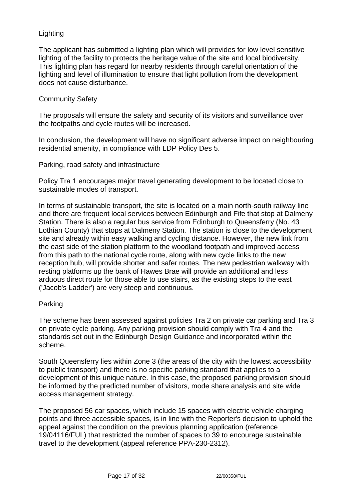# Lighting

The applicant has submitted a lighting plan which will provides for low level sensitive lighting of the facility to protects the heritage value of the site and local biodiversity. This lighting plan has regard for nearby residents through careful orientation of the lighting and level of illumination to ensure that light pollution from the development does not cause disturbance.

## Community Safety

The proposals will ensure the safety and security of its visitors and surveillance over the footpaths and cycle routes will be increased.

In conclusion, the development will have no significant adverse impact on neighbouring residential amenity, in compliance with LDP Policy Des 5.

## Parking, road safety and infrastructure

Policy Tra 1 encourages major travel generating development to be located close to sustainable modes of transport.

In terms of sustainable transport, the site is located on a main north-south railway line and there are frequent local services between Edinburgh and Fife that stop at Dalmeny Station. There is also a regular bus service from Edinburgh to Queensferry (No. 43 Lothian County) that stops at Dalmeny Station. The station is close to the development site and already within easy walking and cycling distance. However, the new link from the east side of the station platform to the woodland footpath and improved access from this path to the national cycle route, along with new cycle links to the new reception hub, will provide shorter and safer routes. The new pedestrian walkway with resting platforms up the bank of Hawes Brae will provide an additional and less arduous direct route for those able to use stairs, as the existing steps to the east ('Jacob's Ladder') are very steep and continuous.

# Parking

The scheme has been assessed against policies Tra 2 on private car parking and Tra 3 on private cycle parking. Any parking provision should comply with Tra 4 and the standards set out in the Edinburgh Design Guidance and incorporated within the scheme.

South Queensferry lies within Zone 3 (the areas of the city with the lowest accessibility to public transport) and there is no specific parking standard that applies to a development of this unique nature. In this case, the proposed parking provision should be informed by the predicted number of visitors, mode share analysis and site wide access management strategy.

The proposed 56 car spaces, which include 15 spaces with electric vehicle charging points and three accessible spaces, is in line with the Reporter's decision to uphold the appeal against the condition on the previous planning application (reference 19/04116/FUL) that restricted the number of spaces to 39 to encourage sustainable travel to the development (appeal reference PPA-230-2312).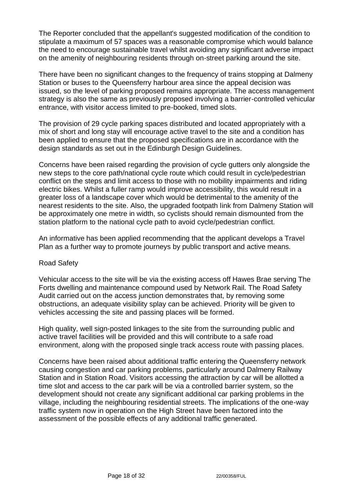The Reporter concluded that the appellant's suggested modification of the condition to stipulate a maximum of 57 spaces was a reasonable compromise which would balance the need to encourage sustainable travel whilst avoiding any significant adverse impact on the amenity of neighbouring residents through on-street parking around the site.

There have been no significant changes to the frequency of trains stopping at Dalmeny Station or buses to the Queensferry harbour area since the appeal decision was issued, so the level of parking proposed remains appropriate. The access management strategy is also the same as previously proposed involving a barrier-controlled vehicular entrance, with visitor access limited to pre-booked, timed slots.

The provision of 29 cycle parking spaces distributed and located appropriately with a mix of short and long stay will encourage active travel to the site and a condition has been applied to ensure that the proposed specifications are in accordance with the design standards as set out in the Edinburgh Design Guidelines.

Concerns have been raised regarding the provision of cycle gutters only alongside the new steps to the core path/national cycle route which could result in cycle/pedestrian conflict on the steps and limit access to those with no mobility impairments and riding electric bikes. Whilst a fuller ramp would improve accessibility, this would result in a greater loss of a landscape cover which would be detrimental to the amenity of the nearest residents to the site. Also, the upgraded footpath link from Dalmeny Station will be approximately one metre in width, so cyclists should remain dismounted from the station platform to the national cycle path to avoid cycle/pedestrian conflict.

An informative has been applied recommending that the applicant develops a Travel Plan as a further way to promote journeys by public transport and active means.

## Road Safety

Vehicular access to the site will be via the existing access off Hawes Brae serving The Forts dwelling and maintenance compound used by Network Rail. The Road Safety Audit carried out on the access junction demonstrates that, by removing some obstructions, an adequate visibility splay can be achieved. Priority will be given to vehicles accessing the site and passing places will be formed.

High quality, well sign-posted linkages to the site from the surrounding public and active travel facilities will be provided and this will contribute to a safe road environment, along with the proposed single track access route with passing places.

Concerns have been raised about additional traffic entering the Queensferry network causing congestion and car parking problems, particularly around Dalmeny Railway Station and in Station Road. Visitors accessing the attraction by car will be allotted a time slot and access to the car park will be via a controlled barrier system, so the development should not create any significant additional car parking problems in the village, including the neighbouring residential streets. The implications of the one-way traffic system now in operation on the High Street have been factored into the assessment of the possible effects of any additional traffic generated.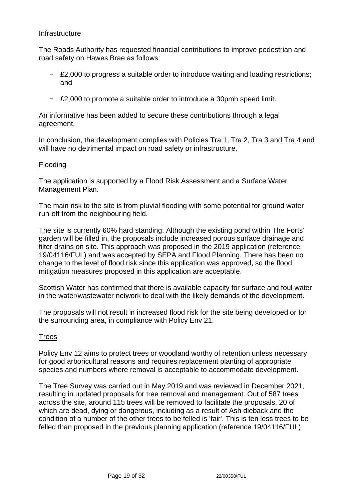#### **Infrastructure**

The Roads Authority has requested financial contributions to improve pedestrian and road safety on Hawes Brae as follows:

- − £2,000 to progress a suitable order to introduce waiting and loading restrictions; and
- − £2,000 to promote a suitable order to introduce a 30pmh speed limit.

An informative has been added to secure these contributions through a legal agreement.

In conclusion, the development complies with Policies Tra 1, Tra 2, Tra 3 and Tra 4 and will have no detrimental impact on road safety or infrastructure.

## Flooding

The application is supported by a Flood Risk Assessment and a Surface Water Management Plan.

The main risk to the site is from pluvial flooding with some potential for ground water run-off from the neighbouring field.

The site is currently 60% hard standing. Although the existing pond within The Forts' garden will be filled in, the proposals include increased porous surface drainage and filter drains on site. This approach was proposed in the 2019 application (reference 19/04116/FUL) and was accepted by SEPA and Flood Planning. There has been no change to the level of flood risk since this application was approved, so the flood mitigation measures proposed in this application are acceptable.

Scottish Water has confirmed that there is available capacity for surface and foul water in the water/wastewater network to deal with the likely demands of the development.

The proposals will not result in increased flood risk for the site being developed or for the surrounding area, in compliance with Policy Env 21.

## Trees

Policy Env 12 aims to protect trees or woodland worthy of retention unless necessary for good arboricultural reasons and requires replacement planting of appropriate species and numbers where removal is acceptable to accommodate development.

The Tree Survey was carried out in May 2019 and was reviewed in December 2021, resulting in updated proposals for tree removal and management. Out of 587 trees across the site, around 115 trees will be removed to facilitate the proposals, 20 of which are dead, dying or dangerous, including as a result of Ash dieback and the condition of a number of the other trees to be felled is 'fair'. This is ten less trees to be felled than proposed in the previous planning application (reference 19/04116/FUL)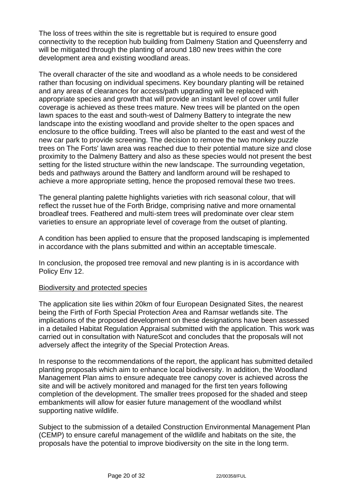The loss of trees within the site is regrettable but is required to ensure good connectivity to the reception hub building from Dalmeny Station and Queensferry and will be mitigated through the planting of around 180 new trees within the core development area and existing woodland areas.

The overall character of the site and woodland as a whole needs to be considered rather than focusing on individual specimens. Key boundary planting will be retained and any areas of clearances for access/path upgrading will be replaced with appropriate species and growth that will provide an instant level of cover until fuller coverage is achieved as these trees mature. New trees will be planted on the open lawn spaces to the east and south-west of Dalmeny Battery to integrate the new landscape into the existing woodland and provide shelter to the open spaces and enclosure to the office building. Trees will also be planted to the east and west of the new car park to provide screening. The decision to remove the two monkey puzzle trees on The Forts' lawn area was reached due to their potential mature size and close proximity to the Dalmeny Battery and also as these species would not present the best setting for the listed structure within the new landscape. The surrounding vegetation, beds and pathways around the Battery and landform around will be reshaped to achieve a more appropriate setting, hence the proposed removal these two trees.

The general planting palette highlights varieties with rich seasonal colour, that will reflect the russet hue of the Forth Bridge, comprising native and more ornamental broadleaf trees. Feathered and multi-stem trees will predominate over clear stem varieties to ensure an appropriate level of coverage from the outset of planting.

A condition has been applied to ensure that the proposed landscaping is implemented in accordance with the plans submitted and within an acceptable timescale.

In conclusion, the proposed tree removal and new planting is in is accordance with Policy Env 12.

#### Biodiversity and protected species

The application site lies within 20km of four European Designated Sites, the nearest being the Firth of Forth Special Protection Area and Ramsar wetlands site. The implications of the proposed development on these designations have been assessed in a detailed Habitat Regulation Appraisal submitted with the application. This work was carried out in consultation with NatureScot and concludes that the proposals will not adversely affect the integrity of the Special Protection Areas.

In response to the recommendations of the report, the applicant has submitted detailed planting proposals which aim to enhance local biodiversity. In addition, the Woodland Management Plan aims to ensure adequate tree canopy cover is achieved across the site and will be actively monitored and managed for the first ten years following completion of the development. The smaller trees proposed for the shaded and steep embankments will allow for easier future management of the woodland whilst supporting native wildlife.

Subject to the submission of a detailed Construction Environmental Management Plan (CEMP) to ensure careful management of the wildlife and habitats on the site, the proposals have the potential to improve biodiversity on the site in the long term.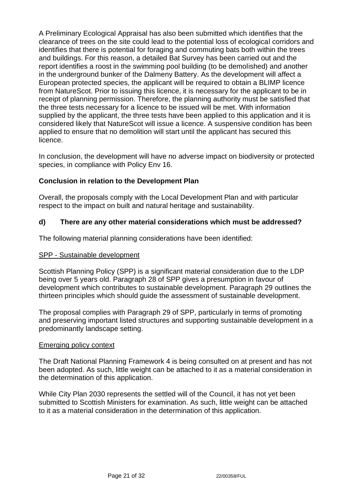A Preliminary Ecological Appraisal has also been submitted which identifies that the clearance of trees on the site could lead to the potential loss of ecological corridors and identifies that there is potential for foraging and commuting bats both within the trees and buildings. For this reason, a detailed Bat Survey has been carried out and the report identifies a roost in the swimming pool building (to be demolished) and another in the underground bunker of the Dalmeny Battery. As the development will affect a European protected species, the applicant will be required to obtain a BLIMP licence from NatureScot. Prior to issuing this licence, it is necessary for the applicant to be in receipt of planning permission. Therefore, the planning authority must be satisfied that the three tests necessary for a licence to be issued will be met. With information supplied by the applicant, the three tests have been applied to this application and it is considered likely that NatureScot will issue a licence. A suspensive condition has been applied to ensure that no demolition will start until the applicant has secured this licence.

In conclusion, the development will have no adverse impact on biodiversity or protected species, in compliance with Policy Env 16.

# **Conclusion in relation to the Development Plan**

Overall, the proposals comply with the Local Development Plan and with particular respect to the impact on built and natural heritage and sustainability.

## **d) There are any other material considerations which must be addressed?**

The following material planning considerations have been identified:

#### SPP - Sustainable development

Scottish Planning Policy (SPP) is a significant material consideration due to the LDP being over 5 years old. Paragraph 28 of SPP gives a presumption in favour of development which contributes to sustainable development. Paragraph 29 outlines the thirteen principles which should guide the assessment of sustainable development.

The proposal complies with Paragraph 29 of SPP, particularly in terms of promoting and preserving important listed structures and supporting sustainable development in a predominantly landscape setting.

#### Emerging policy context

The Draft National Planning Framework 4 is being consulted on at present and has not been adopted. As such, little weight can be attached to it as a material consideration in the determination of this application.

While City Plan 2030 represents the settled will of the Council, it has not yet been submitted to Scottish Ministers for examination. As such, little weight can be attached to it as a material consideration in the determination of this application.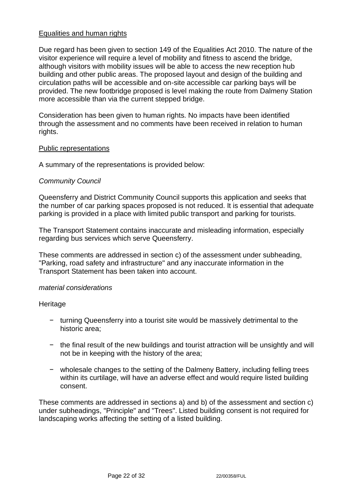# Equalities and human rights

Due regard has been given to section 149 of the Equalities Act 2010. The nature of the visitor experience will require a level of mobility and fitness to ascend the bridge, although visitors with mobility issues will be able to access the new reception hub building and other public areas. The proposed layout and design of the building and circulation paths will be accessible and on-site accessible car parking bays will be provided. The new footbridge proposed is level making the route from Dalmeny Station more accessible than via the current stepped bridge.

Consideration has been given to human rights. No impacts have been identified through the assessment and no comments have been received in relation to human rights.

#### Public representations

A summary of the representations is provided below:

## *Community Council*

Queensferry and District Community Council supports this application and seeks that the number of car parking spaces proposed is not reduced. It is essential that adequate parking is provided in a place with limited public transport and parking for tourists.

The Transport Statement contains inaccurate and misleading information, especially regarding bus services which serve Queensferry.

These comments are addressed in section c) of the assessment under subheading, "Parking, road safety and infrastructure" and any inaccurate information in the Transport Statement has been taken into account.

#### *material considerations*

**Heritage** 

- − turning Queensferry into a tourist site would be massively detrimental to the historic area;
- − the final result of the new buildings and tourist attraction will be unsightly and will not be in keeping with the history of the area;
- − wholesale changes to the setting of the Dalmeny Battery, including felling trees within its curtilage, will have an adverse effect and would require listed building consent.

These comments are addressed in sections a) and b) of the assessment and section c) under subheadings, "Principle" and "Trees". Listed building consent is not required for landscaping works affecting the setting of a listed building.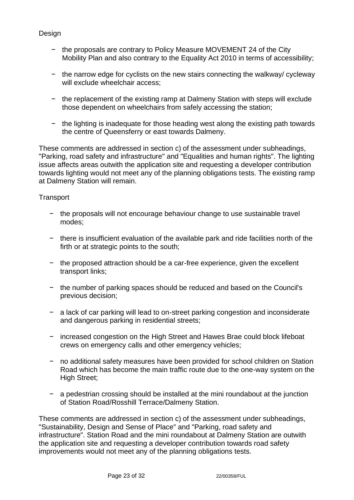# Design

- − the proposals are contrary to Policy Measure MOVEMENT 24 of the City Mobility Plan and also contrary to the Equality Act 2010 in terms of accessibility;
- − the narrow edge for cyclists on the new stairs connecting the walkway/ cycleway will exclude wheelchair access:
- − the replacement of the existing ramp at Dalmeny Station with steps will exclude those dependent on wheelchairs from safely accessing the station;
- − the lighting is inadequate for those heading west along the existing path towards the centre of Queensferry or east towards Dalmeny.

These comments are addressed in section c) of the assessment under subheadings, "Parking, road safety and infrastructure" and "Equalities and human rights". The lighting issue affects areas outwith the application site and requesting a developer contribution towards lighting would not meet any of the planning obligations tests. The existing ramp at Dalmeny Station will remain.

## **Transport**

- − the proposals will not encourage behaviour change to use sustainable travel modes;
- − there is insufficient evaluation of the available park and ride facilities north of the firth or at strategic points to the south;
- − the proposed attraction should be a car-free experience, given the excellent transport links;
- − the number of parking spaces should be reduced and based on the Council's previous decision;
- − a lack of car parking will lead to on-street parking congestion and inconsiderate and dangerous parking in residential streets;
- − increased congestion on the High Street and Hawes Brae could block lifeboat crews on emergency calls and other emergency vehicles;
- − no additional safety measures have been provided for school children on Station Road which has become the main traffic route due to the one-way system on the High Street;
- − a pedestrian crossing should be installed at the mini roundabout at the junction of Station Road/Rosshill Terrace/Dalmeny Station.

These comments are addressed in section c) of the assessment under subheadings, "Sustainability, Design and Sense of Place" and "Parking, road safety and infrastructure". Station Road and the mini roundabout at Dalmeny Station are outwith the application site and requesting a developer contribution towards road safety improvements would not meet any of the planning obligations tests.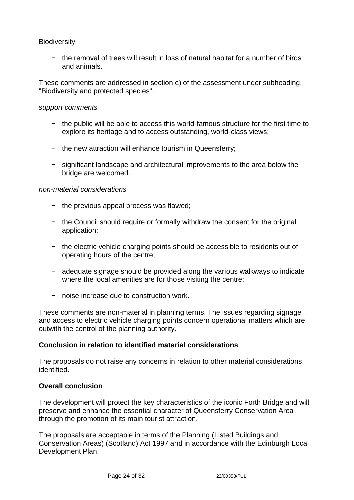## **Biodiversity**

− the removal of trees will result in loss of natural habitat for a number of birds and animals.

These comments are addressed in section c) of the assessment under subheading, "Biodiversity and protected species".

#### *support comments*

- − the public will be able to access this world-famous structure for the first time to explore its heritage and to access outstanding, world-class views;
- − the new attraction will enhance tourism in Queensferry;
- − significant landscape and architectural improvements to the area below the bridge are welcomed.

#### *non-material considerations*

- − the previous appeal process was flawed;
- − the Council should require or formally withdraw the consent for the original application;
- − the electric vehicle charging points should be accessible to residents out of operating hours of the centre;
- − adequate signage should be provided along the various walkways to indicate where the local amenities are for those visiting the centre;
- − noise increase due to construction work.

These comments are non-material in planning terms. The issues regarding signage and access to electric vehicle charging points concern operational matters which are outwith the control of the planning authority.

## **Conclusion in relation to identified material considerations**

The proposals do not raise any concerns in relation to other material considerations identified.

#### **Overall conclusion**

The development will protect the key characteristics of the iconic Forth Bridge and will preserve and enhance the essential character of Queensferry Conservation Area through the promotion of its main tourist attraction.

The proposals are acceptable in terms of the Planning (Listed Buildings and Conservation Areas) (Scotland) Act 1997 and in accordance with the Edinburgh Local Development Plan.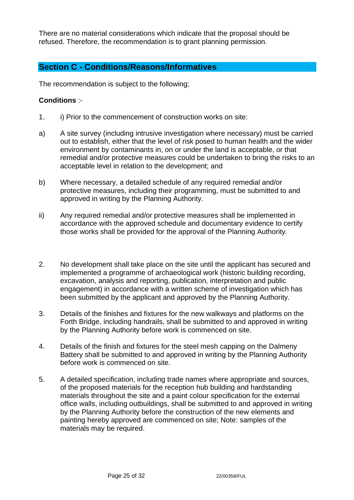There are no material considerations which indicate that the proposal should be refused. Therefore, the recommendation is to grant planning permission.

# **Section C - Conditions/Reasons/Informatives**

The recommendation is subject to the following;

# **Conditions** :-

- 1. i) Prior to the commencement of construction works on site:
- a) A site survey (including intrusive investigation where necessary) must be carried out to establish, either that the level of risk posed to human health and the wider environment by contaminants in, on or under the land is acceptable, or that remedial and/or protective measures could be undertaken to bring the risks to an acceptable level in relation to the development; and
- b) Where necessary, a detailed schedule of any required remedial and/or protective measures, including their programming, must be submitted to and approved in writing by the Planning Authority.
- ii) Any required remedial and/or protective measures shall be implemented in accordance with the approved schedule and documentary evidence to certify those works shall be provided for the approval of the Planning Authority.
- 2. No development shall take place on the site until the applicant has secured and implemented a programme of archaeological work (historic building recording, excavation, analysis and reporting, publication, interpretation and public engagement) in accordance with a written scheme of investigation which has been submitted by the applicant and approved by the Planning Authority.
- 3. Details of the finishes and fixtures for the new walkways and platforms on the Forth Bridge, including handrails, shall be submitted to and approved in writing by the Planning Authority before work is commenced on site.
- 4. Details of the finish and fixtures for the steel mesh capping on the Dalmeny Battery shall be submitted to and approved in writing by the Planning Authority before work is commenced on site.
- 5. A detailed specification, including trade names where appropriate and sources, of the proposed materials for the reception hub building and hardstanding materials throughout the site and a paint colour specification for the external office walls, including outbuildings, shall be submitted to and approved in writing by the Planning Authority before the construction of the new elements and painting hereby approved are commenced on site; Note: samples of the materials may be required.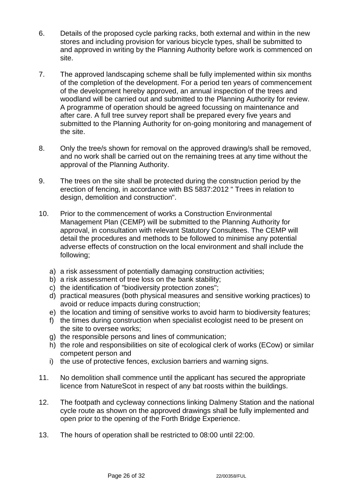- 6. Details of the proposed cycle parking racks, both external and within in the new stores and including provision for various bicycle types, shall be submitted to and approved in writing by the Planning Authority before work is commenced on site.
- 7. The approved landscaping scheme shall be fully implemented within six months of the completion of the development. For a period ten years of commencement of the development hereby approved, an annual inspection of the trees and woodland will be carried out and submitted to the Planning Authority for review. A programme of operation should be agreed focussing on maintenance and after care. A full tree survey report shall be prepared every five years and submitted to the Planning Authority for on-going monitoring and management of the site.
- 8. Only the tree/s shown for removal on the approved drawing/s shall be removed, and no work shall be carried out on the remaining trees at any time without the approval of the Planning Authority.
- 9. The trees on the site shall be protected during the construction period by the erection of fencing, in accordance with BS 5837:2012 " Trees in relation to design, demolition and construction".
- 10. Prior to the commencement of works a Construction Environmental Management Plan (CEMP) will be submitted to the Planning Authority for approval, in consultation with relevant Statutory Consultees. The CEMP will detail the procedures and methods to be followed to minimise any potential adverse effects of construction on the local environment and shall include the following;
	- a) a risk assessment of potentially damaging construction activities;
	- b) a risk assessment of tree loss on the bank stability;
	- c) the identification of "biodiversity protection zones";
	- d) practical measures (both physical measures and sensitive working practices) to avoid or reduce impacts during construction;
	- e) the location and timing of sensitive works to avoid harm to biodiversity features;
	- f) the times during construction when specialist ecologist need to be present on the site to oversee works;
	- g) the responsible persons and lines of communication;
	- h) the role and responsibilities on site of ecological clerk of works (ECow) or similar competent person and
	- i) the use of protective fences, exclusion barriers and warning signs.
- 11. No demolition shall commence until the applicant has secured the appropriate licence from NatureScot in respect of any bat roosts within the buildings.
- 12. The footpath and cycleway connections linking Dalmeny Station and the national cycle route as shown on the approved drawings shall be fully implemented and open prior to the opening of the Forth Bridge Experience.
- 13. The hours of operation shall be restricted to 08:00 until 22:00.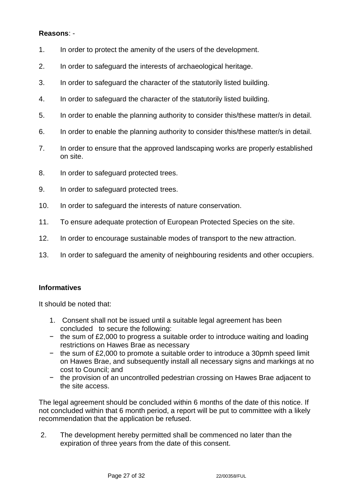# **Reasons**: -

- 1. In order to protect the amenity of the users of the development.
- 2. In order to safeguard the interests of archaeological heritage.
- 3. In order to safeguard the character of the statutorily listed building.
- 4. In order to safeguard the character of the statutorily listed building.
- 5. In order to enable the planning authority to consider this/these matter/s in detail.
- 6. In order to enable the planning authority to consider this/these matter/s in detail.
- 7. In order to ensure that the approved landscaping works are properly established on site.
- 8. In order to safeguard protected trees.
- 9. In order to safeguard protected trees.
- 10. In order to safeguard the interests of nature conservation.
- 11. To ensure adequate protection of European Protected Species on the site.
- 12. In order to encourage sustainable modes of transport to the new attraction.
- 13. In order to safeguard the amenity of neighbouring residents and other occupiers.

## **Informatives**

It should be noted that:

- 1. Consent shall not be issued until a suitable legal agreement has been concluded to secure the following:
- − the sum of £2,000 to progress a suitable order to introduce waiting and loading restrictions on Hawes Brae as necessary
- − the sum of £2,000 to promote a suitable order to introduce a 30pmh speed limit on Hawes Brae, and subsequently install all necessary signs and markings at no cost to Council; and
- − the provision of an uncontrolled pedestrian crossing on Hawes Brae adjacent to the site access.

The legal agreement should be concluded within 6 months of the date of this notice. If not concluded within that 6 month period, a report will be put to committee with a likely recommendation that the application be refused.

2. The development hereby permitted shall be commenced no later than the expiration of three years from the date of this consent.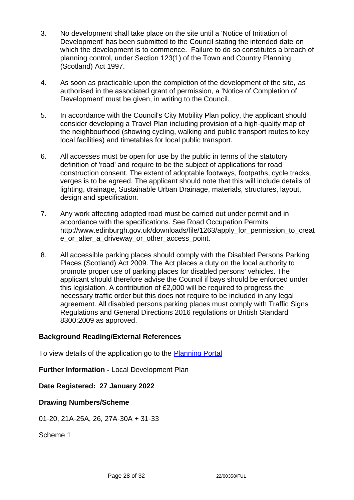- 3. No development shall take place on the site until a 'Notice of Initiation of Development' has been submitted to the Council stating the intended date on which the development is to commence. Failure to do so constitutes a breach of planning control, under Section 123(1) of the Town and Country Planning (Scotland) Act 1997.
- 4. As soon as practicable upon the completion of the development of the site, as authorised in the associated grant of permission, a 'Notice of Completion of Development' must be given, in writing to the Council.
- 5. In accordance with the Council's City Mobility Plan policy, the applicant should consider developing a Travel Plan including provision of a high-quality map of the neighbourhood (showing cycling, walking and public transport routes to key local facilities) and timetables for local public transport.
- 6. All accesses must be open for use by the public in terms of the statutory definition of 'road' and require to be the subject of applications for road construction consent. The extent of adoptable footways, footpaths, cycle tracks, verges is to be agreed. The applicant should note that this will include details of lighting, drainage, Sustainable Urban Drainage, materials, structures, layout, design and specification.
- 7. Any work affecting adopted road must be carried out under permit and in accordance with the specifications. See Road Occupation Permits http://www.edinburgh.gov.uk/downloads/file/1263/apply\_for\_permission\_to\_creat e\_or\_alter\_a\_driveway\_or\_other\_access\_point.
- 8. All accessible parking places should comply with the Disabled Persons Parking Places (Scotland) Act 2009. The Act places a duty on the local authority to promote proper use of parking places for disabled persons' vehicles. The applicant should therefore advise the Council if bays should be enforced under this legislation. A contribution of £2,000 will be required to progress the necessary traffic order but this does not require to be included in any legal agreement. All disabled persons parking places must comply with Traffic Signs Regulations and General Directions 2016 regulations or British Standard 8300:2009 as approved.

## **Background Reading/External References**

To view details of the application go to the [Planning Portal](https://citydev-portal.edinburgh.gov.uk/idoxpa-web/applicationDetails.do?activeTab=summary&keyVal=R6DHT5EWMY000)

**Further Information -** [Local Development Plan](https://www.edinburgh.gov.uk/local-development-plan-guidance-1/edinburgh-local-development-plan/1)

**Date Registered: 27 January 2022**

## **Drawing Numbers/Scheme**

01-20, 21A-25A, 26, 27A-30A + 31-33

Scheme 1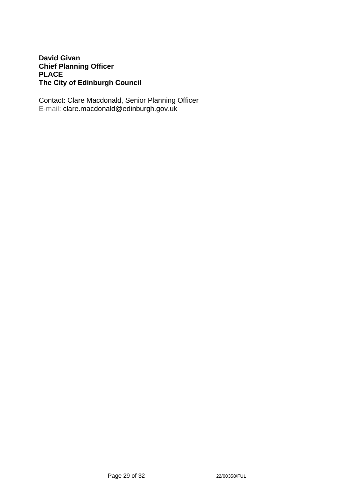# **David Givan Chief Planning Officer PLACE The City of Edinburgh Council**

Contact: Clare Macdonald, Senior Planning Officer E-mail: clare.macdonald@edinburgh.gov.uk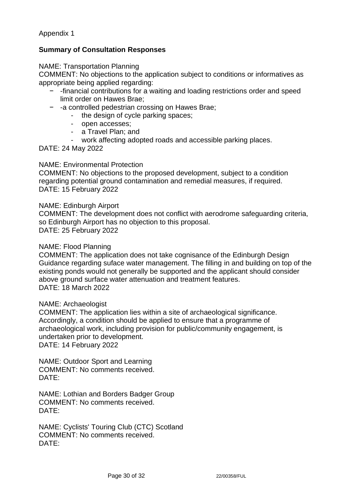Appendix 1

# **Summary of Consultation Responses**

NAME: Transportation Planning

COMMENT: No objections to the application subject to conditions or informatives as appropriate being applied regarding:

- − -financial contributions for a waiting and loading restrictions order and speed limit order on Hawes Brae;
- − -a controlled pedestrian crossing on Hawes Brae;
	- the design of cycle parking spaces;
	- open accesses;
	- a Travel Plan; and
	- work affecting adopted roads and accessible parking places.

DATE: 24 May 2022

#### NAME: Environmental Protection

COMMENT: No objections to the proposed development, subject to a condition regarding potential ground contamination and remedial measures, if required. DATE: 15 February 2022

#### NAME: Edinburgh Airport

COMMENT: The development does not conflict with aerodrome safeguarding criteria, so Edinburgh Airport has no objection to this proposal. DATE: 25 February 2022

#### NAME: Flood Planning

COMMENT: The application does not take cognisance of the Edinburgh Design Guidance regarding suface water management. The filling in and building on top of the existing ponds would not generally be supported and the applicant should consider above ground surface water attenuation and treatment features. DATE: 18 March 2022

#### NAME: Archaeologist

COMMENT: The application lies within a site of archaeological significance. Accordingly, a condition should be applied to ensure that a programme of archaeological work, including provision for public/community engagement, is undertaken prior to development. DATE: 14 February 2022

NAME: Outdoor Sport and Learning COMMENT: No comments received. DATE:

NAME: Lothian and Borders Badger Group COMMENT: No comments received. DATE:

NAME: Cyclists' Touring Club (CTC) Scotland COMMENT: No comments received. DATE: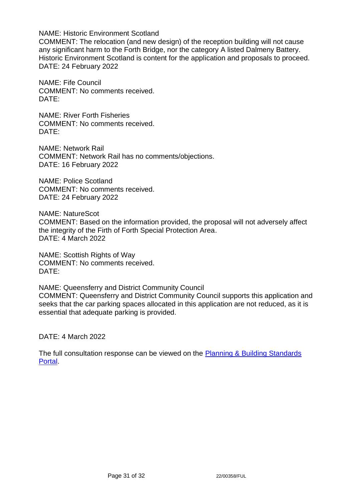NAME: Historic Environment Scotland

COMMENT: The relocation (and new design) of the reception building will not cause any significant harm to the Forth Bridge, nor the category A listed Dalmeny Battery. Historic Environment Scotland is content for the application and proposals to proceed. DATE: 24 February 2022

NAME: Fife Council COMMENT: No comments received. DATE:

NAME: River Forth Fisheries COMMENT: No comments received. DATE:

NAME: Network Rail COMMENT: Network Rail has no comments/objections. DATE: 16 February 2022

NAME: Police Scotland COMMENT: No comments received. DATE: 24 February 2022

NAME: NatureScot COMMENT: Based on the information provided, the proposal will not adversely affect the integrity of the Firth of Forth Special Protection Area. DATE: 4 March 2022

NAME: Scottish Rights of Way COMMENT: No comments received. DATE:

NAME: Queensferry and District Community Council COMMENT: Queensferry and District Community Council supports this application and seeks that the car parking spaces allocated in this application are not reduced, as it is essential that adequate parking is provided.

DATE: 4 March 2022

The full consultation response can be viewed on the **Planning & Building Standards** [Portal.](https://citydev-portal.edinburgh.gov.uk/idoxpa-web/applicationDetails.do?activeTab=summary&keyVal=R6DHT5EWMY000)